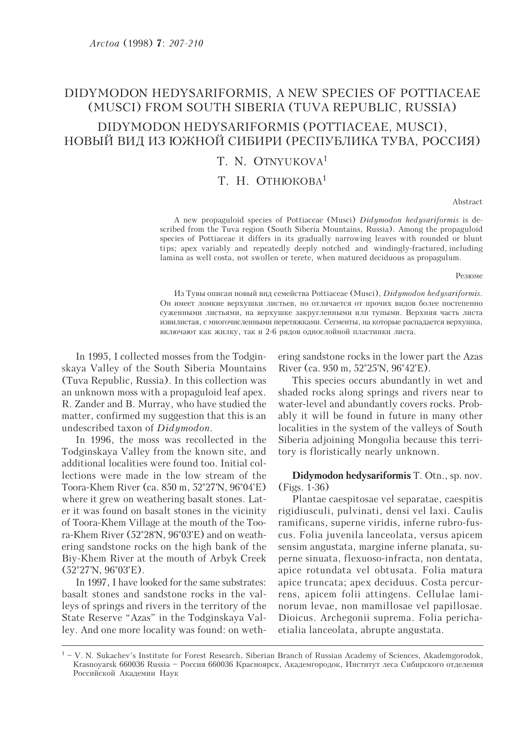# DIDYMODON HEDYSARIFORMIS, A NEW SPECIES OF POTTIACEAE (MUSCI) FROM SOUTH SIBERIA (TUVA REPUBLIC, RUSSIA)

## DIDYMODON HEDYSARIFORMIS (POTTIACEAE, MUSCI), НОВЫЙ ВИД ИЗ ЮЖНОЙ СИБИРИ (РЕСПУБЛИКА ТУВА, РОССИЯ)

## T. N. OTNYUKOVA<sup>1</sup>

# Т. Н. ОТНЮКОВА<sup>1</sup>

Abstract

A new propaguloid species of Pottiaceae (Musci) Didymodon hedysariformis is described from the Tuva region (South Siberia Mountains, Russia). Among the propaguloid species of Pottiaceae it differs in its gradually narrowing leaves with rounded or blunt tips; apex variably and repeatedly deeply notched and windingly-fractured, including lamina as well costa, not swollen or terete, when matured deciduous as propagulum.

Резюме

Из Тувы описан новый вид семейства Pottiaceae (Musci), Didymodon hedysariformis. Он имеет ломкие верхушки листьев, но отличается от прочих видов более постепенно суженными листьями, на верхушке закругленными или тупыми. Верхняя часть листа извилистая, с многочисленными перетяжками. Сегменты, на которые распадается верхушка, включают как жилку, так и 2-6 рядов однослойной пластинки листа.

In 1995, I collected mosses from the Todginskava Valley of the South Siberia Mountains (Tuva Republic, Russia). In this collection was an unknown moss with a propaguloid leaf apex. R. Zander and B. Murray, who have studied the matter, confirmed my suggestion that this is an undescribed taxon of Didymodon.

In 1996, the moss was recollected in the Todginskaya Valley from the known site, and additional localities were found too. Initial collections were made in the low stream of the Toora-Khem River (ca. 850 m, 52°27'N, 96°04'E) where it grew on weathering basalt stones. Later it was found on basalt stones in the vicinity of Toora-Khem Village at the mouth of the Toora-Khem River (52°28'N, 96°03'E) and on weathering sandstone rocks on the high bank of the Biy-Khem River at the mouth of Arbyk Creek  $(52^{\circ}27^{\prime}N, 96^{\circ}03^{\prime}E)$ .

In 1997, I have looked for the same substrates: basalt stones and sandstone rocks in the valleys of springs and rivers in the territory of the State Reserve "Azas" in the Todginskaya Valley. And one more locality was found: on wethering sandstone rocks in the lower part the Azas River (ca. 950 m, 52°25'N, 96°42'E).

This species occurs abundantly in wet and shaded rocks along springs and rivers near to water-level and abundantly covers rocks. Probably it will be found in future in many other localities in the system of the valleys of South Siberia adjoining Mongolia because this territory is floristically nearly unknown.

Didymodon hedysariformis T. Otn., sp. nov.  $(Figs. 1-36)$ 

Plantae caespitosae vel separatae, caespitis rigidiusculi, pulvinati, densi vel laxi. Caulis ramificans, superne viridis, inferne rubro-fuscus. Folia juvenila lanceolata, versus apicem sensim angustata, margine inferne planata, superne sinuata, flexuoso-infracta, non dentata, apice rotundata vel obtusata. Folia matura apice truncata; apex deciduus. Costa percurrens, apicem folii attingens. Cellulae laminorum levae, non mamillosae vel papillosae. Dioicus. Archegonii suprema. Folia perichaetialia lanceolata, abrupte angustata.

 $1 - V$ . N. Sukachev's Institute for Forest Research, Siberian Branch of Russian Academy of Sciences, Akademgorodok, Krasnovarsk 660036 Russia - Россия 660036 Красноярск, Академгородок, Институт леса Сибирского отделения Российской Академии Наук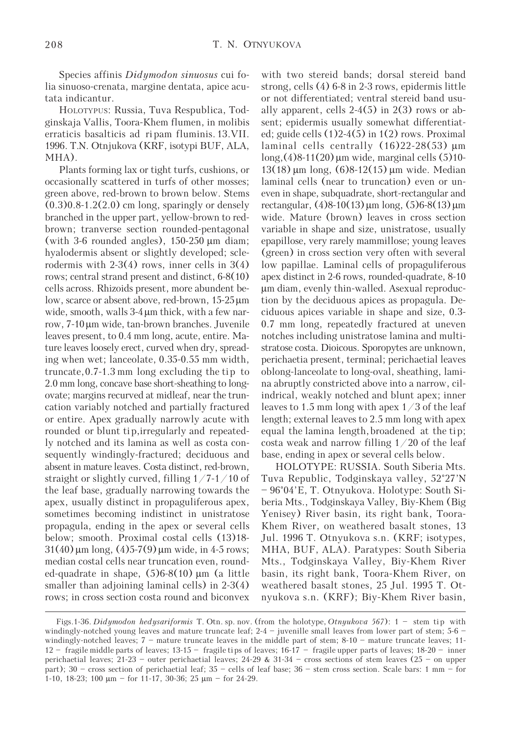Species affinis Didymodon sinuosus cui folia sinuoso-crenata, margine dentata, apice acutata indicantur.

HOLOTYPUS: Russia, Tuva Respublica, Todginskaja Vallis, Toora-Khem flumen, in molibis erraticis basalticis ad ri pam fluminis. 13.VII. 1996. T.N. Otnjukova (KRF, isotypi BUF, ALA, MHA).

Plants forming lax or tight turfs, cushions, or occasionally scattered in turfs of other mosses; green above, red-brown to brown below. Stems  $(0.3)0.8-1.2(2.0)$  cm long, sparingly or densely branched in the upper part, yellow-brown to redbrown; tranverse section rounded-pentagonal (with 3-6 rounded angles), 150-250 μm diam; hyalodermis absent or slightly developed; sclerodermis with  $2-3(4)$  rows, inner cells in  $3(4)$ rows; central strand present and distinct, 6-8(10) cells across. Rhizoids present, more abundent below, scarce or absent above, red-brown, 15-25 μm wide, smooth, walls 3-4 μm thick, with a few narrow, 7-10 μm wide, tan-brown branches. Juvenile leaves present, to 0.4 mm long, acute, entire. Mature leaves loosely erect, curved when dry, spreading when wet; lanceolate, 0.35-0.55 mm width, truncate, 0.7-1.3 mm long excluding the tip to 2.0 mm long, concave base short-sheathing to longovate; margins recurved at midleaf, near the truncation variably notched and partially fractured or entire. Apex gradually narrowly acute with rounded or blunt tip, irregularly and repeatedly notched and its lamina as well as costa consequently windingly-fractured; deciduous and absent in mature leaves. Costa distinct, red-brown, straight or slightly curved, filling 1/7-1/10 of the leaf base, gradually narrowing towards the apex, usually distinct in propaguliferous apex, sometimes becoming indistinct in unistratose propagula, ending in the apex or several cells below; smooth. Proximal costal cells (13)18- 31(40) μm long, (4)5-7(9) μm wide, in 4-5 rows; median costal cells near truncation even, rounded-quadrate in shape, (5)6-8(10) μm (a little smaller than adjoining laminal cells) in 2-3(4) rows; in cross section costa round and biconvex

with two stereid bands; dorsal stereid band strong, cells (4) 6-8 in 2-3 rows, epidermis little or not differentiated; ventral stereid band usually apparent, cells  $2-4(5)$  in  $2(3)$  rows or absent; epidermis usually somewhat differentiated; guide cells  $(1)2-4(5)$  in  $1(2)$  rows. Proximal laminal cells centrally (16)22-28(53) μm long,(4)8-11(20) μm wide, marginal cells (5)10- 13(18) μm long, (6)8-12(15) μm wide. Median laminal cells (near to truncation) even or uneven in shape, subquadrate, short-rectangular and rectangular, (4)8-10(13) μm long, (5)6-8(13) μm wide. Mature (brown) leaves in cross section variable in shape and size, unistratose, usually epapillose, very rarely mammillose; young leaves (green) in cross section very often with several low papillae. Laminal cells of propaguliferous apex distinct in 2-6 rows, rounded-quadrate, 8-10 μm diam, evenly thin-walled. Asexual reproduction by the deciduous apices as propagula. Deciduous apices variable in shape and size, 0.3- 0.7 mm long, repeatedly fractured at uneven notches including unistratose lamina and multistratose costa. Dioicous. Sporopytes are unknown, perichaetia present, terminal; perichaetial leaves oblong-lanceolate to long-oval, sheathing, lamina abruptly constricted above into a narrow, cilindrical, weakly notched and blunt apex; inner leaves to 1.5 mm long with apex 1/3 of the leaf length; external leaves to 2.5 mm long with apex equal the lamina length, broadened at the tip; costa weak and narrow filling 1/20 of the leaf base, ending in apex or several cells below.

HOLOTYPE: RUSSIA. South Siberia Mts. Tuva Republic, Todginskaya valley, 52°27'N – 96°04'E, T. Otnyukova. Holotype: South Siberia Mts., Todginskaya Valley, Biy-Khem (Big Yenisey) River basin, its right bank, Toora-Khem River, on weathered basalt stones, 13 Jul. 1996 T. Otnyukova s.n. (KRF; isotypes, MHA, BUF, ALA). Paratypes: South Siberia Mts., Todginskaya Valley, Biy-Khem River basin, its right bank, Toora-Khem River, on weathered basalt stones, 25 Jul. 1995 T. Otnyukova s.n. (KRF); Biy-Khem River basin,

Figs.1-36. Didymodon hedysariformis T. Otn. sp. nov. (from the holotype, Otnyukova 567): 1 - stem tip with windingly-notched young leaves and mature truncate leaf; 2-4 – juvenille small leaves from lower part of stem; 5-6 – windingly-notched leaves; 7 – mature truncate leaves in the middle part of stem; 8-10 – mature truncate leaves; 11- 12 – fragile middle parts of leaves; 13-15 – fragile ti ps of leaves; 16-17 – fragile upper parts of leaves; 18-20 – inner perichaetial leaves; 21-23 – outer perichaetial leaves; 24-29 & 31-34 – cross sections of stem leaves (25 – on upper part); 30 – cross section of perichaetial leaf; 35 – cells of leaf base; 36 – stem cross section. Scale bars: 1 mm – for 1-10, 18-23; 100 μm – for 11-17, 30-36; 25 μm – for 24-29.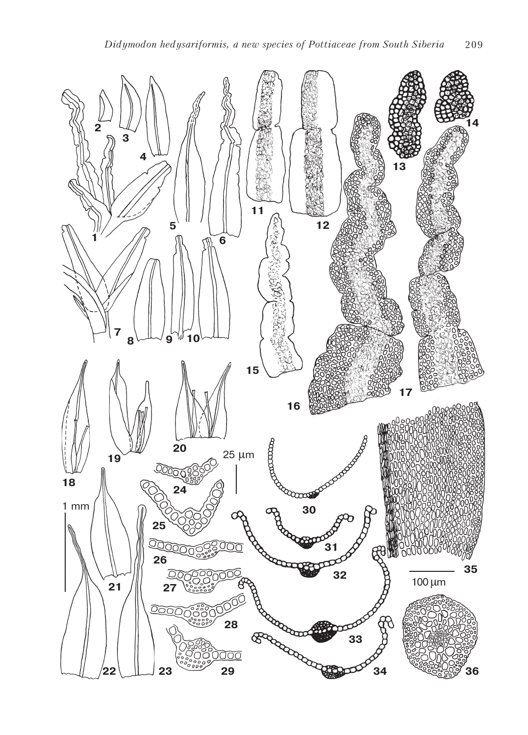